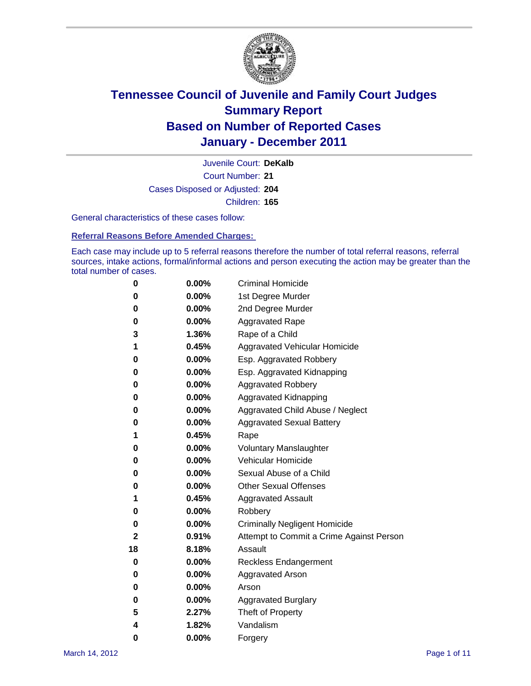

Court Number: **21** Juvenile Court: **DeKalb** Cases Disposed or Adjusted: **204** Children: **165**

General characteristics of these cases follow:

**Referral Reasons Before Amended Charges:** 

Each case may include up to 5 referral reasons therefore the number of total referral reasons, referral sources, intake actions, formal/informal actions and person executing the action may be greater than the total number of cases.

| 0  | 0.00%    | <b>Criminal Homicide</b>                 |
|----|----------|------------------------------------------|
| 0  | 0.00%    | 1st Degree Murder                        |
| 0  | 0.00%    | 2nd Degree Murder                        |
| 0  | 0.00%    | <b>Aggravated Rape</b>                   |
| 3  | 1.36%    | Rape of a Child                          |
| 1  | 0.45%    | Aggravated Vehicular Homicide            |
| 0  | 0.00%    | Esp. Aggravated Robbery                  |
| 0  | 0.00%    | Esp. Aggravated Kidnapping               |
| 0  | 0.00%    | <b>Aggravated Robbery</b>                |
| 0  | 0.00%    | Aggravated Kidnapping                    |
| 0  | 0.00%    | Aggravated Child Abuse / Neglect         |
| 0  | $0.00\%$ | <b>Aggravated Sexual Battery</b>         |
| 1  | 0.45%    | Rape                                     |
| 0  | 0.00%    | <b>Voluntary Manslaughter</b>            |
| 0  | 0.00%    | Vehicular Homicide                       |
| 0  | 0.00%    | Sexual Abuse of a Child                  |
| 0  | 0.00%    | <b>Other Sexual Offenses</b>             |
| 1  | 0.45%    | <b>Aggravated Assault</b>                |
| 0  | $0.00\%$ | Robbery                                  |
| 0  | 0.00%    | <b>Criminally Negligent Homicide</b>     |
| 2  | 0.91%    | Attempt to Commit a Crime Against Person |
| 18 | 8.18%    | Assault                                  |
| 0  | 0.00%    | <b>Reckless Endangerment</b>             |
| 0  | 0.00%    | <b>Aggravated Arson</b>                  |
| 0  | 0.00%    | Arson                                    |
| 0  | 0.00%    | <b>Aggravated Burglary</b>               |
| 5  | 2.27%    | Theft of Property                        |
| 4  | 1.82%    | Vandalism                                |
| 0  | 0.00%    | Forgery                                  |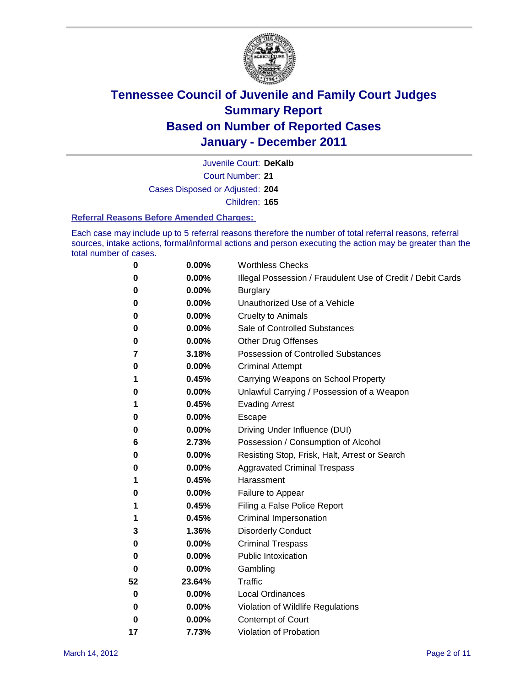

Court Number: **21** Juvenile Court: **DeKalb** Cases Disposed or Adjusted: **204**

Children: **165**

### **Referral Reasons Before Amended Charges:**

Each case may include up to 5 referral reasons therefore the number of total referral reasons, referral sources, intake actions, formal/informal actions and person executing the action may be greater than the total number of cases.

| 0        | 0.00%  | <b>Worthless Checks</b>                                     |
|----------|--------|-------------------------------------------------------------|
| 0        | 0.00%  | Illegal Possession / Fraudulent Use of Credit / Debit Cards |
| 0        | 0.00%  | <b>Burglary</b>                                             |
| 0        | 0.00%  | Unauthorized Use of a Vehicle                               |
| 0        | 0.00%  | <b>Cruelty to Animals</b>                                   |
| 0        | 0.00%  | Sale of Controlled Substances                               |
| 0        | 0.00%  | <b>Other Drug Offenses</b>                                  |
| 7        | 3.18%  | <b>Possession of Controlled Substances</b>                  |
| 0        | 0.00%  | <b>Criminal Attempt</b>                                     |
| 1        | 0.45%  | Carrying Weapons on School Property                         |
| 0        | 0.00%  | Unlawful Carrying / Possession of a Weapon                  |
| 1        | 0.45%  | <b>Evading Arrest</b>                                       |
| 0        | 0.00%  | Escape                                                      |
| 0        | 0.00%  | Driving Under Influence (DUI)                               |
| 6        | 2.73%  | Possession / Consumption of Alcohol                         |
| 0        | 0.00%  | Resisting Stop, Frisk, Halt, Arrest or Search               |
| 0        | 0.00%  | <b>Aggravated Criminal Trespass</b>                         |
| 1        | 0.45%  | Harassment                                                  |
| 0        | 0.00%  | Failure to Appear                                           |
| 1        | 0.45%  | Filing a False Police Report                                |
| 1        | 0.45%  | Criminal Impersonation                                      |
| 3        | 1.36%  | <b>Disorderly Conduct</b>                                   |
| 0        | 0.00%  | <b>Criminal Trespass</b>                                    |
| 0        | 0.00%  | <b>Public Intoxication</b>                                  |
| 0        | 0.00%  | Gambling                                                    |
| 52       | 23.64% | <b>Traffic</b>                                              |
| 0        | 0.00%  | <b>Local Ordinances</b>                                     |
| $\bf{0}$ | 0.00%  | Violation of Wildlife Regulations                           |
| 0        | 0.00%  | Contempt of Court                                           |
| 17       | 7.73%  | Violation of Probation                                      |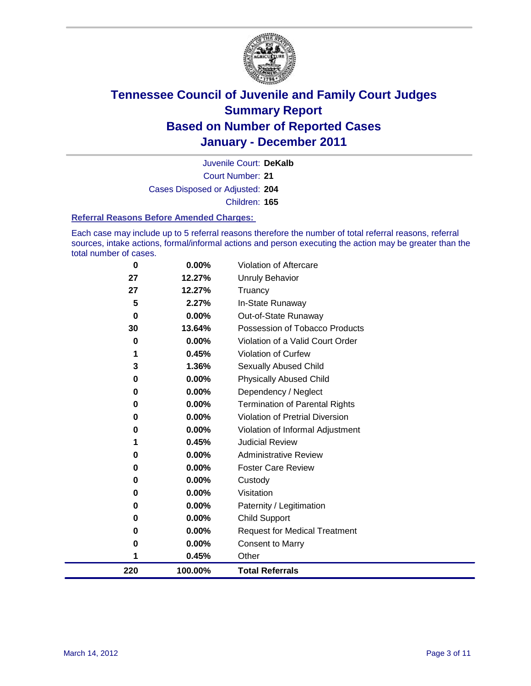

Court Number: **21** Juvenile Court: **DeKalb** Cases Disposed or Adjusted: **204** Children: **165**

#### **Referral Reasons Before Amended Charges:**

Each case may include up to 5 referral reasons therefore the number of total referral reasons, referral sources, intake actions, formal/informal actions and person executing the action may be greater than the total number of cases.

| 220         | 100.00%  | <b>Total Referrals</b>                 |
|-------------|----------|----------------------------------------|
| 1           | 0.45%    | Other                                  |
| 0           | 0.00%    | <b>Consent to Marry</b>                |
| 0           | 0.00%    | <b>Request for Medical Treatment</b>   |
| 0           | 0.00%    | <b>Child Support</b>                   |
| 0           | 0.00%    | Paternity / Legitimation               |
| 0           | 0.00%    | Visitation                             |
| 0           | 0.00%    | Custody                                |
| 0           | 0.00%    | <b>Foster Care Review</b>              |
| 0           | 0.00%    | <b>Administrative Review</b>           |
| 1           | 0.45%    | <b>Judicial Review</b>                 |
| 0           | 0.00%    | Violation of Informal Adjustment       |
| 0           | 0.00%    | <b>Violation of Pretrial Diversion</b> |
| 0           | 0.00%    | Termination of Parental Rights         |
| 0           | 0.00%    | Dependency / Neglect                   |
| 0           | 0.00%    | <b>Physically Abused Child</b>         |
| 3           | 1.36%    | Sexually Abused Child                  |
| 1           | 0.45%    | <b>Violation of Curfew</b>             |
| $\bf{0}$    | $0.00\%$ | Violation of a Valid Court Order       |
| 30          | 13.64%   | Possession of Tobacco Products         |
| $\mathbf 0$ | 0.00%    | Out-of-State Runaway                   |
| 5           | 2.27%    | In-State Runaway                       |
| 27          | 12.27%   | Truancy                                |
| 27          | 12.27%   | <b>Unruly Behavior</b>                 |
| $\bf{0}$    | 0.00%    | <b>Violation of Aftercare</b>          |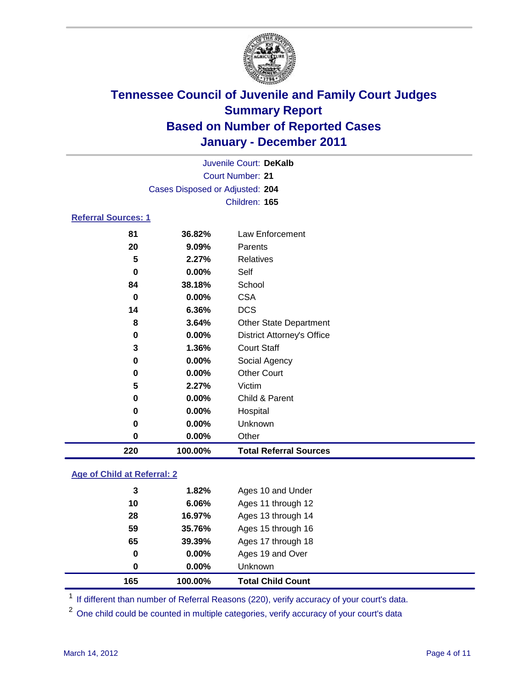

|                            | Juvenile Court: DeKalb          |                                   |  |  |  |
|----------------------------|---------------------------------|-----------------------------------|--|--|--|
|                            |                                 | <b>Court Number: 21</b>           |  |  |  |
|                            | Cases Disposed or Adjusted: 204 |                                   |  |  |  |
|                            |                                 | Children: 165                     |  |  |  |
| <b>Referral Sources: 1</b> |                                 |                                   |  |  |  |
| 81                         | 36.82%                          | Law Enforcement                   |  |  |  |
| 20                         | 9.09%                           | Parents                           |  |  |  |
| 5                          | 2.27%                           | Relatives                         |  |  |  |
| 0                          | 0.00%                           | Self                              |  |  |  |
| 84                         | 38.18%                          | School                            |  |  |  |
| $\bf{0}$                   | 0.00%                           | <b>CSA</b>                        |  |  |  |
| 14                         | 6.36%                           | <b>DCS</b>                        |  |  |  |
| 8                          | 3.64%                           | <b>Other State Department</b>     |  |  |  |
| 0                          | $0.00\%$                        | <b>District Attorney's Office</b> |  |  |  |
| 3                          | 1.36%                           | <b>Court Staff</b>                |  |  |  |
| 0                          | 0.00%                           | Social Agency                     |  |  |  |
| 0                          | 0.00%                           | <b>Other Court</b>                |  |  |  |
| 5                          | 2.27%                           | Victim                            |  |  |  |
| 0                          | 0.00%                           | Child & Parent                    |  |  |  |
| 0                          | 0.00%                           | Hospital                          |  |  |  |
| 0                          | 0.00%                           | Unknown                           |  |  |  |
| 0                          | 0.00%                           | Other                             |  |  |  |
| 220                        | 100.00%                         | <b>Total Referral Sources</b>     |  |  |  |

### **Age of Child at Referral: 2**

| 0<br>0 | 0.00%<br>$0.00\%$ | Ages 19 and Over<br><b>Unknown</b> |  |
|--------|-------------------|------------------------------------|--|
|        |                   |                                    |  |
|        |                   |                                    |  |
| 65     | 39.39%            | Ages 17 through 18                 |  |
| 59     | 35.76%            | Ages 15 through 16                 |  |
| 28     | 16.97%            | Ages 13 through 14                 |  |
| 10     | 6.06%             | Ages 11 through 12                 |  |
| 3      | 1.82%             | Ages 10 and Under                  |  |
|        |                   |                                    |  |

<sup>1</sup> If different than number of Referral Reasons (220), verify accuracy of your court's data.

<sup>2</sup> One child could be counted in multiple categories, verify accuracy of your court's data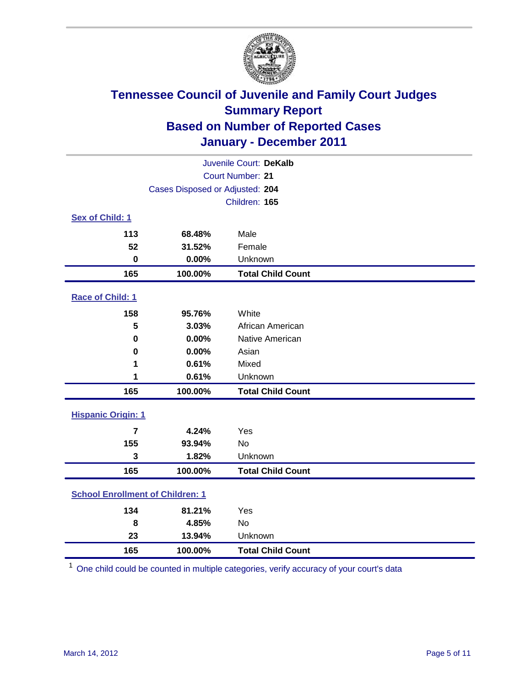

|                                         | Juvenile Court: DeKalb          |                          |  |  |  |
|-----------------------------------------|---------------------------------|--------------------------|--|--|--|
|                                         | <b>Court Number: 21</b>         |                          |  |  |  |
|                                         | Cases Disposed or Adjusted: 204 |                          |  |  |  |
|                                         |                                 | Children: 165            |  |  |  |
| Sex of Child: 1                         |                                 |                          |  |  |  |
| 113                                     | 68.48%                          | Male                     |  |  |  |
| 52                                      | 31.52%                          | Female                   |  |  |  |
| $\bf{0}$                                | 0.00%                           | Unknown                  |  |  |  |
| 165                                     | 100.00%                         | <b>Total Child Count</b> |  |  |  |
| Race of Child: 1                        |                                 |                          |  |  |  |
| 158                                     | 95.76%                          | White                    |  |  |  |
| 5                                       | 3.03%                           | African American         |  |  |  |
| 0                                       | 0.00%                           | Native American          |  |  |  |
| 0                                       | 0.00%                           | Asian                    |  |  |  |
| 1                                       | 0.61%                           | Mixed                    |  |  |  |
| 1                                       | 0.61%                           | Unknown                  |  |  |  |
| 165                                     | 100.00%                         | <b>Total Child Count</b> |  |  |  |
| <b>Hispanic Origin: 1</b>               |                                 |                          |  |  |  |
| $\overline{7}$                          | 4.24%                           | Yes                      |  |  |  |
| 155                                     | 93.94%                          | <b>No</b>                |  |  |  |
| 3                                       | 1.82%                           | Unknown                  |  |  |  |
| 165                                     | 100.00%                         | <b>Total Child Count</b> |  |  |  |
| <b>School Enrollment of Children: 1</b> |                                 |                          |  |  |  |
| 134                                     | 81.21%                          | Yes                      |  |  |  |
| 8                                       | 4.85%                           | <b>No</b>                |  |  |  |
| 23                                      | 13.94%                          | Unknown                  |  |  |  |
| 165                                     | 100.00%                         | <b>Total Child Count</b> |  |  |  |

One child could be counted in multiple categories, verify accuracy of your court's data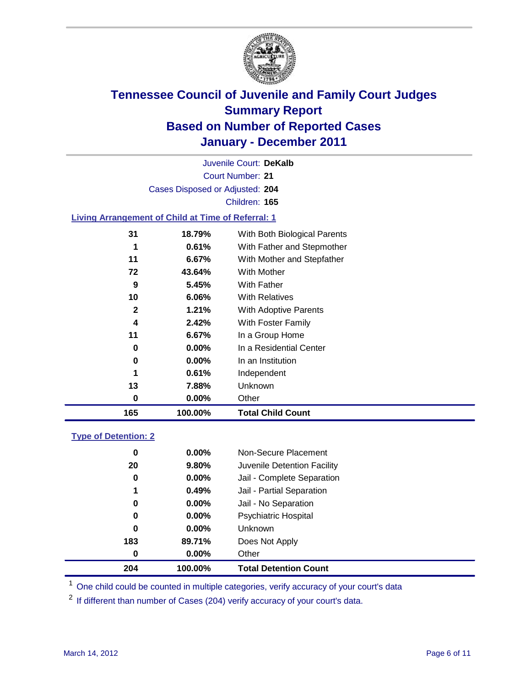

Court Number: **21** Juvenile Court: **DeKalb** Cases Disposed or Adjusted: **204** Children: **165**

### **Living Arrangement of Child at Time of Referral: 1**

| 165          | 100.00%  | <b>Total Child Count</b>     |
|--------------|----------|------------------------------|
| 0            | 0.00%    | Other                        |
| 13           | 7.88%    | Unknown                      |
| 1            | 0.61%    | Independent                  |
| 0            | $0.00\%$ | In an Institution            |
| 0            | $0.00\%$ | In a Residential Center      |
| 11           | 6.67%    | In a Group Home              |
| 4            | 2.42%    | With Foster Family           |
| $\mathbf{2}$ | 1.21%    | With Adoptive Parents        |
| 10           | 6.06%    | <b>With Relatives</b>        |
| 9            | 5.45%    | With Father                  |
| 72           | 43.64%   | With Mother                  |
| 11           | 6.67%    | With Mother and Stepfather   |
| 1            | 0.61%    | With Father and Stepmother   |
| 31           | 18.79%   | With Both Biological Parents |
|              |          |                              |

### **Type of Detention: 2**

| 204      | 100.00%  | <b>Total Detention Count</b> |  |
|----------|----------|------------------------------|--|
| $\bf{0}$ | 0.00%    | Other                        |  |
| 183      | 89.71%   | Does Not Apply               |  |
| 0        | $0.00\%$ | Unknown                      |  |
| 0        | $0.00\%$ | Psychiatric Hospital         |  |
| 0        | 0.00%    | Jail - No Separation         |  |
| 1        | 0.49%    | Jail - Partial Separation    |  |
| 0        | $0.00\%$ | Jail - Complete Separation   |  |
| 20       | 9.80%    | Juvenile Detention Facility  |  |
| 0        | $0.00\%$ | Non-Secure Placement         |  |
|          |          |                              |  |

<sup>1</sup> One child could be counted in multiple categories, verify accuracy of your court's data

<sup>2</sup> If different than number of Cases (204) verify accuracy of your court's data.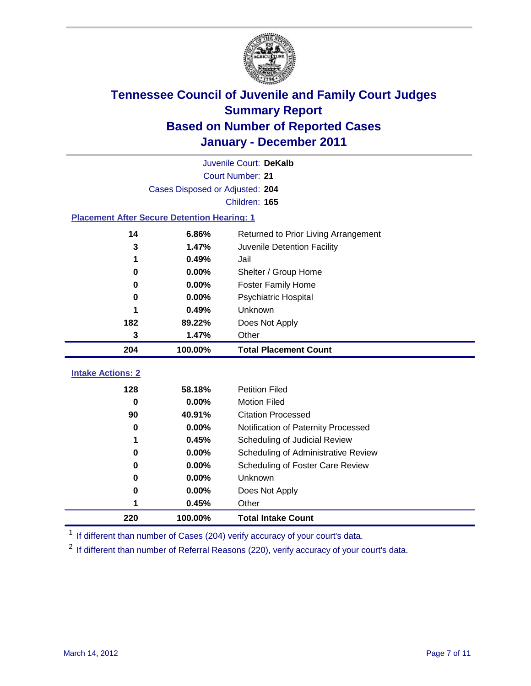

|                                                    | Juvenile Court: DeKalb          |                                      |  |  |  |
|----------------------------------------------------|---------------------------------|--------------------------------------|--|--|--|
|                                                    | Court Number: 21                |                                      |  |  |  |
|                                                    | Cases Disposed or Adjusted: 204 |                                      |  |  |  |
|                                                    |                                 | Children: 165                        |  |  |  |
| <b>Placement After Secure Detention Hearing: 1</b> |                                 |                                      |  |  |  |
| 14                                                 | 6.86%                           | Returned to Prior Living Arrangement |  |  |  |
| 3                                                  | 1.47%                           | Juvenile Detention Facility          |  |  |  |
| 1                                                  | 0.49%                           | Jail                                 |  |  |  |
| 0                                                  | 0.00%                           | Shelter / Group Home                 |  |  |  |
| 0                                                  | 0.00%                           | Foster Family Home                   |  |  |  |
| 0                                                  | 0.00%                           | Psychiatric Hospital                 |  |  |  |
| 1                                                  | 0.49%                           | Unknown                              |  |  |  |
| 182                                                | 89.22%                          | Does Not Apply                       |  |  |  |
| 3                                                  | 1.47%                           | Other                                |  |  |  |
| 204                                                | 100.00%                         | <b>Total Placement Count</b>         |  |  |  |
| <b>Intake Actions: 2</b>                           |                                 |                                      |  |  |  |
| 128                                                | 58.18%                          | <b>Petition Filed</b>                |  |  |  |
| $\bf{0}$                                           | 0.00%                           | <b>Motion Filed</b>                  |  |  |  |
| 90                                                 | 40.91%                          | <b>Citation Processed</b>            |  |  |  |
| 0                                                  | 0.00%                           | Notification of Paternity Processed  |  |  |  |
| 1                                                  | 0.45%                           | Scheduling of Judicial Review        |  |  |  |
| 0                                                  | 0.00%                           | Scheduling of Administrative Review  |  |  |  |
| 0                                                  | 0.00%                           | Scheduling of Foster Care Review     |  |  |  |
| 0                                                  | 0.00%                           | Unknown                              |  |  |  |
| 0                                                  | 0.00%                           | Does Not Apply                       |  |  |  |
| 1                                                  | 0.45%                           | Other                                |  |  |  |
| 220                                                | 100.00%                         | <b>Total Intake Count</b>            |  |  |  |

<sup>1</sup> If different than number of Cases (204) verify accuracy of your court's data.

<sup>2</sup> If different than number of Referral Reasons (220), verify accuracy of your court's data.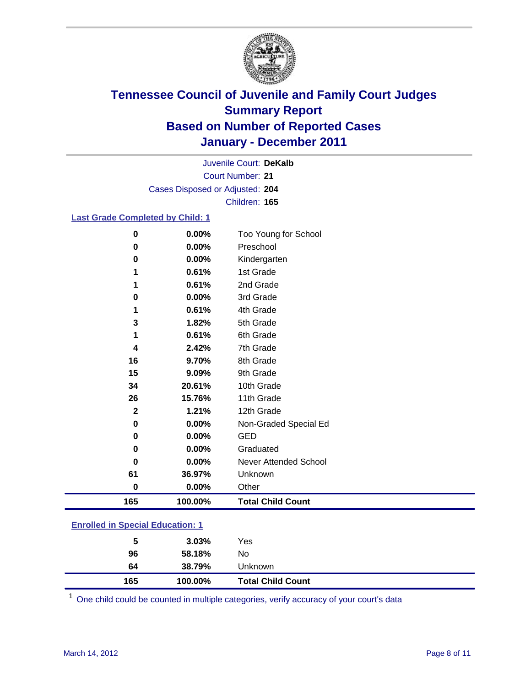

Court Number: **21** Juvenile Court: **DeKalb** Cases Disposed or Adjusted: **204** Children: **165**

### **Last Grade Completed by Child: 1**

| $\bf{0}$     | 0.00%   | Too Young for School     |
|--------------|---------|--------------------------|
| 0            | 0.00%   | Preschool                |
| 0            | 0.00%   | Kindergarten             |
| 1            | 0.61%   | 1st Grade                |
|              | 0.61%   | 2nd Grade                |
| 0            | 0.00%   | 3rd Grade                |
| 1            | 0.61%   | 4th Grade                |
| 3            | 1.82%   | 5th Grade                |
| 1            | 0.61%   | 6th Grade                |
| 4            | 2.42%   | 7th Grade                |
| 16           | 9.70%   | 8th Grade                |
| 15           | 9.09%   | 9th Grade                |
| 34           | 20.61%  | 10th Grade               |
| 26           | 15.76%  | 11th Grade               |
| $\mathbf{2}$ | 1.21%   | 12th Grade               |
| 0            | 0.00%   | Non-Graded Special Ed    |
| 0            | 0.00%   | <b>GED</b>               |
| 0            | 0.00%   | Graduated                |
| O            | 0.00%   | Never Attended School    |
| 61           | 36.97%  | Unknown                  |
| $\bf{0}$     | 0.00%   | Other                    |
| 165          | 100.00% | <b>Total Child Count</b> |

### **Enrolled in Special Education: 1**

| 165 | 100.00%  | <b>Total Child Count</b> |  |
|-----|----------|--------------------------|--|
| 64  | 38.79%   | Unknown                  |  |
| 96  | 58.18%   | No                       |  |
| 5   | $3.03\%$ | Yes                      |  |
|     |          |                          |  |

One child could be counted in multiple categories, verify accuracy of your court's data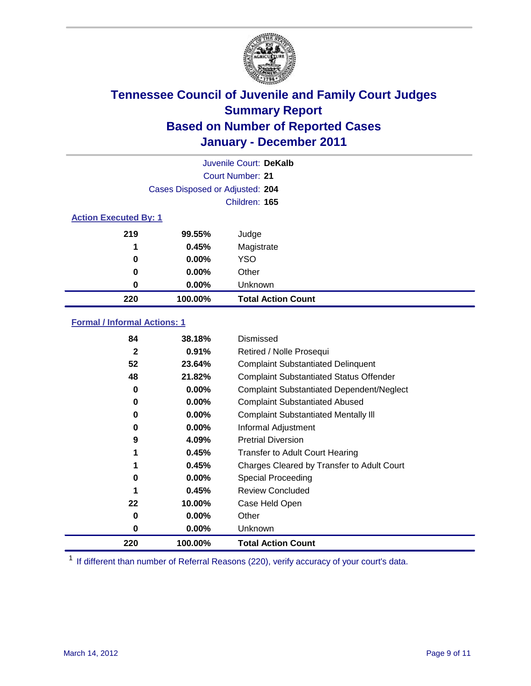

|                              | Juvenile Court: DeKalb          |                           |  |  |
|------------------------------|---------------------------------|---------------------------|--|--|
| Court Number: 21             |                                 |                           |  |  |
|                              | Cases Disposed or Adjusted: 204 |                           |  |  |
|                              | Children: 165                   |                           |  |  |
| <b>Action Executed By: 1</b> |                                 |                           |  |  |
| 219                          | 99.55%                          | Judge                     |  |  |
| 1                            | 0.45%                           | Magistrate                |  |  |
| 0                            | 0.00%                           | <b>YSO</b>                |  |  |
| 0                            | $0.00\%$                        | Other                     |  |  |
| 0                            | 0.00%                           | Unknown                   |  |  |
| 220                          | 100.00%                         | <b>Total Action Count</b> |  |  |

### **Formal / Informal Actions: 1**

| 84           | 38.18%   | Dismissed                                        |
|--------------|----------|--------------------------------------------------|
| $\mathbf{2}$ | 0.91%    | Retired / Nolle Prosequi                         |
| 52           | 23.64%   | <b>Complaint Substantiated Delinquent</b>        |
| 48           | 21.82%   | <b>Complaint Substantiated Status Offender</b>   |
| 0            | 0.00%    | <b>Complaint Substantiated Dependent/Neglect</b> |
| 0            | $0.00\%$ | <b>Complaint Substantiated Abused</b>            |
| 0            | $0.00\%$ | <b>Complaint Substantiated Mentally III</b>      |
| 0            | $0.00\%$ | Informal Adjustment                              |
| 9            | 4.09%    | <b>Pretrial Diversion</b>                        |
|              | 0.45%    | <b>Transfer to Adult Court Hearing</b>           |
|              | 0.45%    | Charges Cleared by Transfer to Adult Court       |
| 0            | 0.00%    | Special Proceeding                               |
|              | 0.45%    | <b>Review Concluded</b>                          |
| 22           | 10.00%   | Case Held Open                                   |
| 0            | $0.00\%$ | Other                                            |
| 0            | $0.00\%$ | <b>Unknown</b>                                   |
| 220          | 100.00%  | <b>Total Action Count</b>                        |

<sup>1</sup> If different than number of Referral Reasons (220), verify accuracy of your court's data.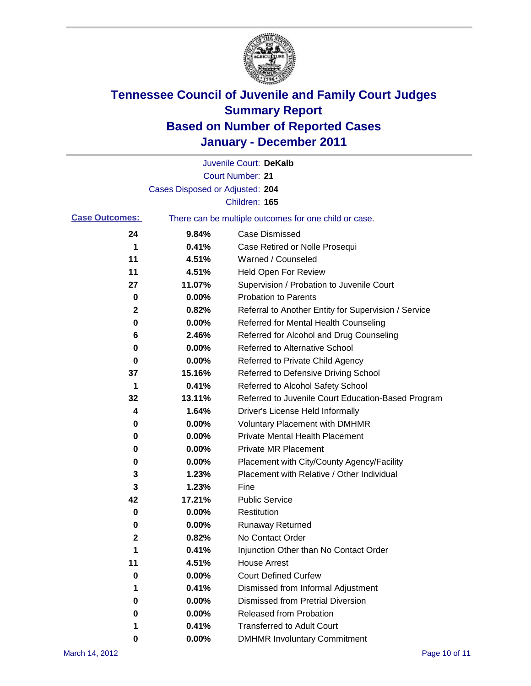

|                       |                                 | Juvenile Court: DeKalb                                |
|-----------------------|---------------------------------|-------------------------------------------------------|
|                       |                                 | <b>Court Number: 21</b>                               |
|                       | Cases Disposed or Adjusted: 204 |                                                       |
|                       |                                 | Children: 165                                         |
| <b>Case Outcomes:</b> |                                 | There can be multiple outcomes for one child or case. |
| 24                    | 9.84%                           | <b>Case Dismissed</b>                                 |
| 1                     | 0.41%                           | Case Retired or Nolle Prosequi                        |
| 11                    | 4.51%                           | Warned / Counseled                                    |
| 11                    | 4.51%                           | Held Open For Review                                  |
| 27                    | 11.07%                          | Supervision / Probation to Juvenile Court             |
| 0                     | 0.00%                           | <b>Probation to Parents</b>                           |
| 2                     | 0.82%                           | Referral to Another Entity for Supervision / Service  |
| 0                     | 0.00%                           | Referred for Mental Health Counseling                 |
| 6                     | 2.46%                           | Referred for Alcohol and Drug Counseling              |
| 0                     | 0.00%                           | <b>Referred to Alternative School</b>                 |
| 0                     | 0.00%                           | Referred to Private Child Agency                      |
| 37                    | 15.16%                          | Referred to Defensive Driving School                  |
| 1                     | 0.41%                           | Referred to Alcohol Safety School                     |
| 32                    | 13.11%                          | Referred to Juvenile Court Education-Based Program    |
| 4                     | 1.64%                           | Driver's License Held Informally                      |
| 0                     | 0.00%                           | <b>Voluntary Placement with DMHMR</b>                 |
| 0                     | 0.00%                           | <b>Private Mental Health Placement</b>                |
| 0                     | 0.00%                           | <b>Private MR Placement</b>                           |
| 0                     | 0.00%                           | Placement with City/County Agency/Facility            |
| 3                     | 1.23%                           | Placement with Relative / Other Individual            |
| 3                     | 1.23%                           | Fine                                                  |
| 42                    | 17.21%                          | <b>Public Service</b>                                 |
| 0                     | 0.00%                           | Restitution                                           |
| 0                     | 0.00%                           | <b>Runaway Returned</b>                               |
| 2                     | 0.82%                           | No Contact Order                                      |
| 1                     | 0.41%                           | Injunction Other than No Contact Order                |
| 11                    | 4.51%                           | <b>House Arrest</b>                                   |
| 0                     | $0.00\%$                        | <b>Court Defined Curfew</b>                           |
| 1                     | 0.41%                           | Dismissed from Informal Adjustment                    |
| 0                     | $0.00\%$                        | <b>Dismissed from Pretrial Diversion</b>              |
| 0                     | 0.00%                           | Released from Probation                               |
| 1                     | 0.41%                           | <b>Transferred to Adult Court</b>                     |
| 0                     | $0.00\%$                        | <b>DMHMR Involuntary Commitment</b>                   |